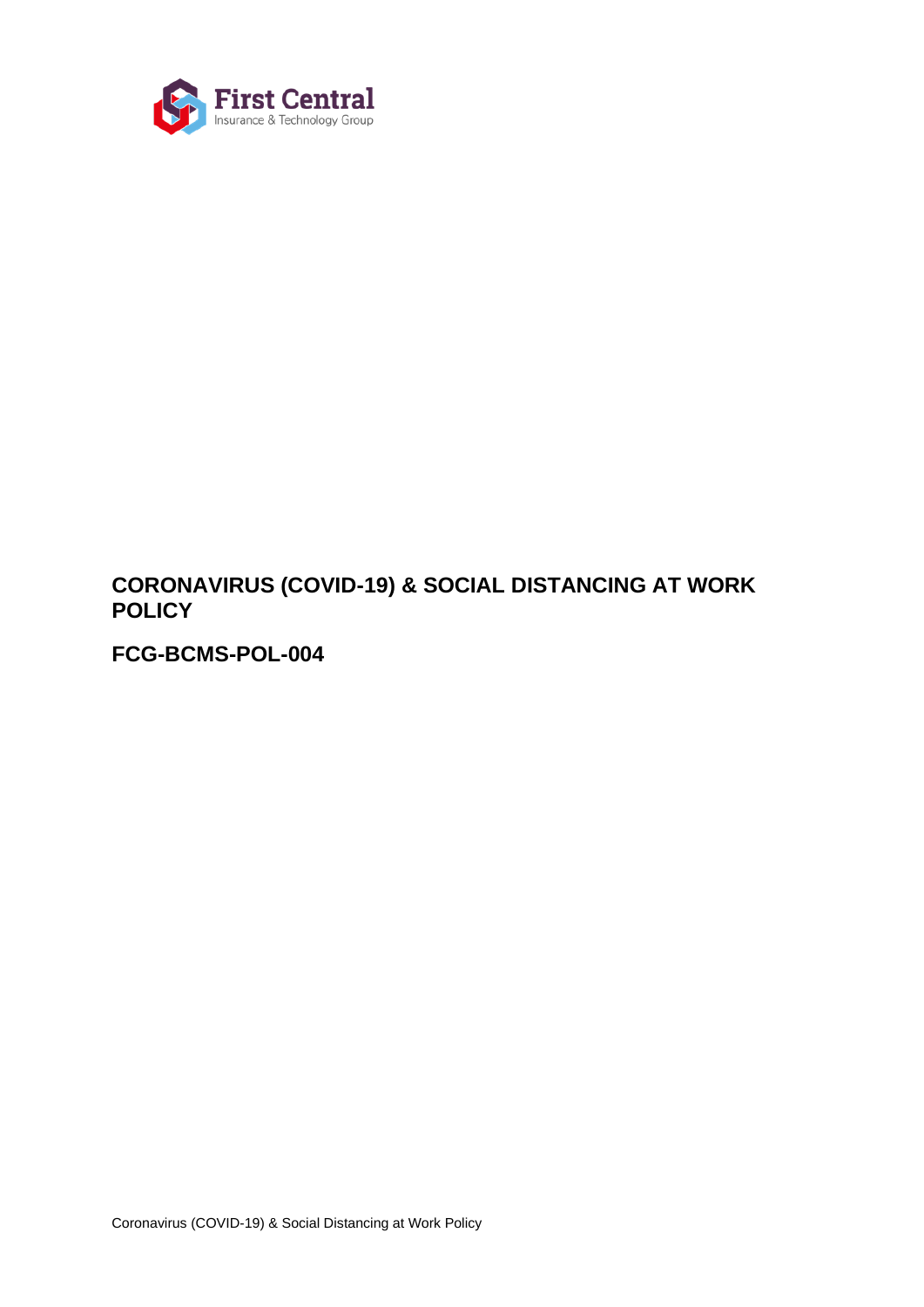

# **CORONAVIRUS (COVID-19) & SOCIAL DISTANCING AT WORK POLICY**

**FCG-BCMS-POL-004**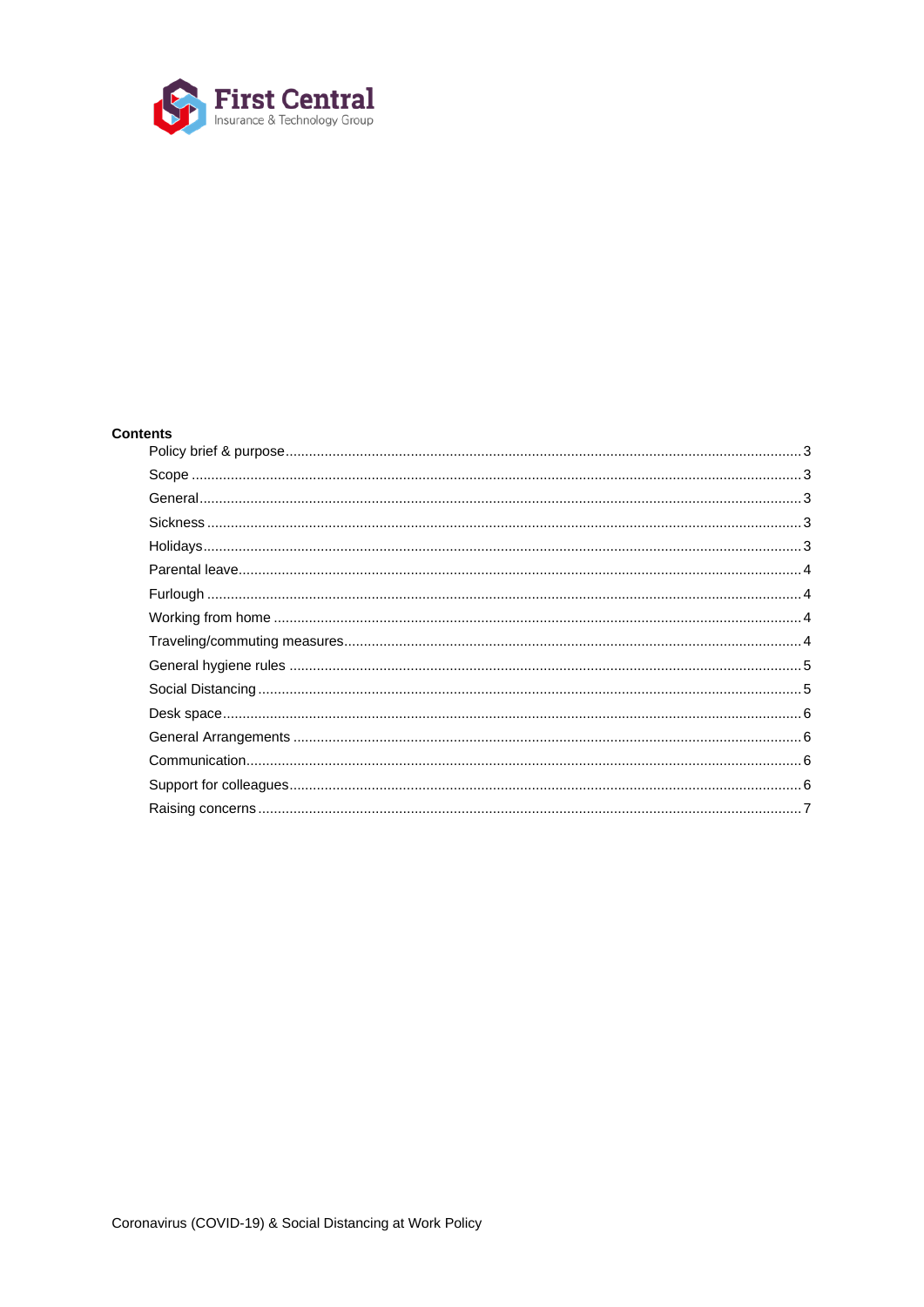

# **Contents**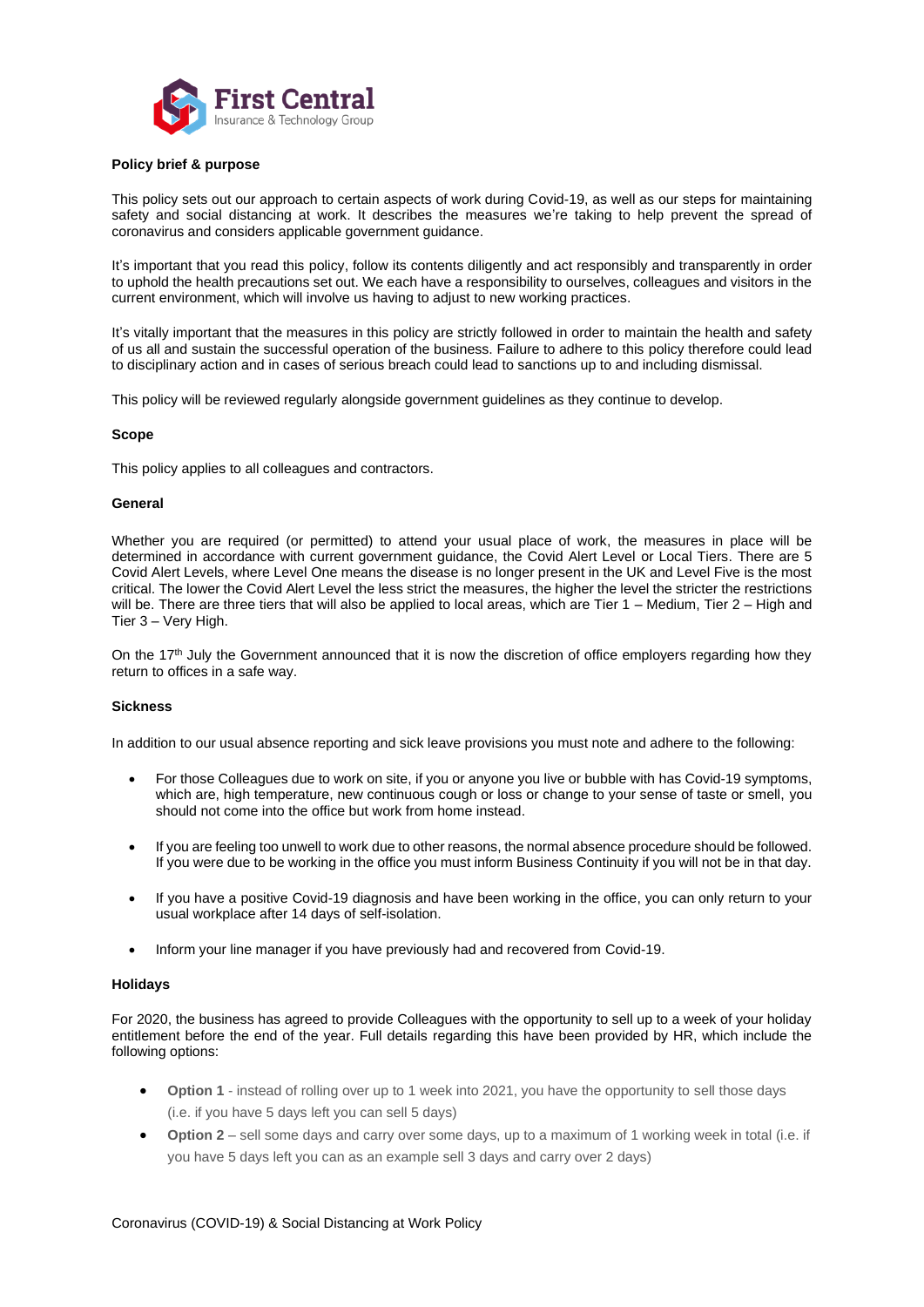

## <span id="page-2-0"></span>**Policy brief & purpose**

This policy sets out our approach to certain aspects of work during Covid-19, as well as our steps for maintaining safety and social distancing at work. It describes the measures we're taking to help prevent the spread of coronavirus and considers applicable government guidance.

It's important that you read this policy, follow its contents diligently and act responsibly and transparently in order to uphold the health precautions set out. We each have a responsibility to ourselves, colleagues and visitors in the current environment, which will involve us having to adjust to new working practices.

It's vitally important that the measures in this policy are strictly followed in order to maintain the health and safety of us all and sustain the successful operation of the business. Failure to adhere to this policy therefore could lead to disciplinary action and in cases of serious breach could lead to sanctions up to and including dismissal.

This policy will be reviewed regularly alongside government guidelines as they continue to develop.

#### <span id="page-2-1"></span>**Scope**

This policy applies to all colleagues and contractors.

#### <span id="page-2-2"></span>**General**

Whether you are required (or permitted) to attend your usual place of work, the measures in place will be determined in accordance with current government guidance, the Covid Alert Level or Local Tiers. There are 5 Covid Alert Levels, where Level One means the disease is no longer present in the UK and Level Five is the most critical. The lower the Covid Alert Level the less strict the measures, the higher the level the stricter the restrictions will be. There are three tiers that will also be applied to local areas, which are Tier 1 – Medium, Tier 2 – High and Tier 3 – Very High.

On the 17<sup>th</sup> July the Government announced that it is now the discretion of office employers regarding how they return to offices in a safe way.

#### <span id="page-2-3"></span>**Sickness**

In addition to our usual absence reporting and sick leave provisions you must note and adhere to the following:

- For those Colleagues due to work on site, if you or anyone you live or bubble with has Covid-19 symptoms, which are, high temperature, new continuous cough or loss or change to your sense of taste or smell, you should not come into the office but work from home instead.
- If you are feeling too unwell to work due to other reasons, the normal absence procedure should be followed. If you were due to be working in the office you must inform Business Continuity if you will not be in that day.
- If you have a positive Covid-19 diagnosis and have been working in the office, you can only return to your usual workplace after 14 days of self-isolation.
- Inform your line manager if you have previously had and recovered from Covid-19.

#### <span id="page-2-4"></span>**Holidays**

For 2020, the business has agreed to provide Colleagues with the opportunity to sell up to a week of your holiday entitlement before the end of the year. Full details regarding this have been provided by HR, which include the following options:

- **Option 1** instead of rolling over up to 1 week into 2021, you have the opportunity to sell those days (i.e. if you have 5 days left you can sell 5 days)
- **Option 2** sell some days and carry over some days, up to a maximum of 1 working week in total (i.e. if you have 5 days left you can as an example sell 3 days and carry over 2 days)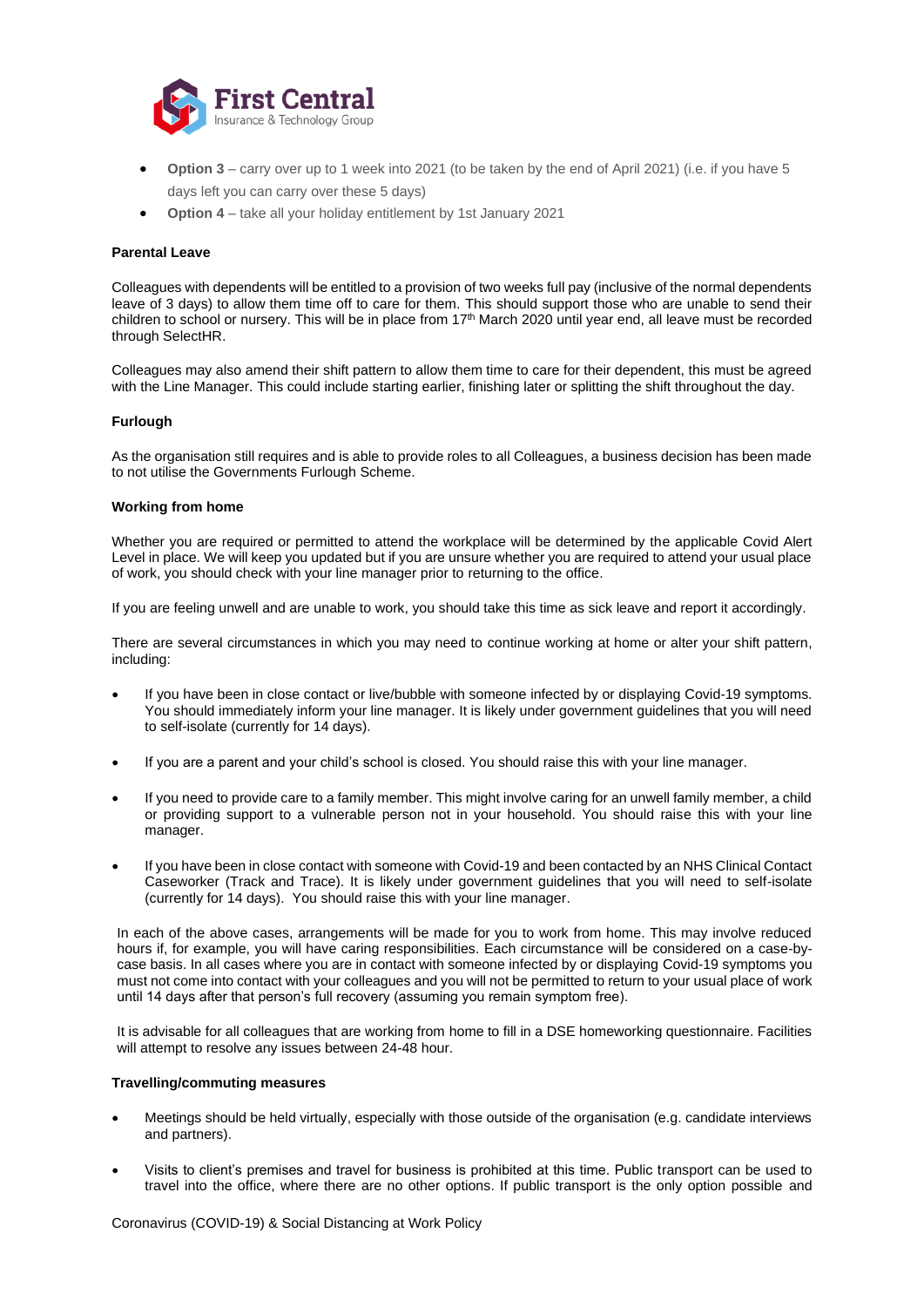

- **Option 3** carry over up to 1 week into 2021 (to be taken by the end of April 2021) (i.e. if you have 5 days left you can carry over these 5 days)
- **Option 4** take all your holiday entitlement by 1st January 2021

## **Parental Leave**

Colleagues with dependents will be entitled to a provision of two weeks full pay (inclusive of the normal dependents leave of 3 days) to allow them time off to care for them. This should support those who are unable to send their children to school or nursery. This will be in place from 17<sup>th</sup> March 2020 until year end, all leave must be recorded through SelectHR.

Colleagues may also amend their shift pattern to allow them time to care for their dependent, this must be agreed with the Line Manager. This could include starting earlier, finishing later or splitting the shift throughout the day.

#### <span id="page-3-0"></span>**Furlough**

As the organisation still requires and is able to provide roles to all Colleagues, a business decision has been made to not utilise the Governments Furlough Scheme.

#### **Working from home**

Whether you are required or permitted to attend the workplace will be determined by the applicable Covid Alert Level in place. We will keep you updated but if you are unsure whether you are required to attend your usual place of work, you should check with your line manager prior to returning to the office.

If you are feeling unwell and are unable to work, you should take this time as sick leave and report it accordingly.

There are several circumstances in which you may need to continue working at home or alter your shift pattern, including:

- If you have been in close contact or live/bubble with someone infected by or displaying Covid-19 symptoms. You should immediately inform your line manager. It is likely under government guidelines that you will need to self-isolate (currently for 14 days).
- If you are a parent and your child's school is closed. You should raise this with your line manager.
- If you need to provide care to a family member. This might involve caring for an unwell family member, a child or providing support to a vulnerable person not in your household. You should raise this with your line manager.
- If you have been in close contact with someone with Covid-19 and been contacted by an NHS Clinical Contact Caseworker (Track and Trace). It is likely under government guidelines that you will need to self-isolate (currently for 14 days). You should raise this with your line manager.

In each of the above cases, arrangements will be made for you to work from home. This may involve reduced hours if, for example, you will have caring responsibilities. Each circumstance will be considered on a case-bycase basis. In all cases where you are in contact with someone infected by or displaying Covid-19 symptoms you must not come into contact with your colleagues and you will not be permitted to return to your usual place of work until 14 days after that person's full recovery (assuming you remain symptom free).

It is advisable for all colleagues that are working from home to fill in a DSE homeworking questionnaire. Facilities will attempt to resolve any issues between 24-48 hour.

#### <span id="page-3-1"></span>**Travelling/commuting measures**

- Meetings should be held virtually, especially with those outside of the organisation (e.g. candidate interviews and partners).
- Visits to client's premises and travel for business is prohibited at this time. Public transport can be used to travel into the office, where there are no other options. If public transport is the only option possible and

Coronavirus (COVID-19) & Social Distancing at Work Policy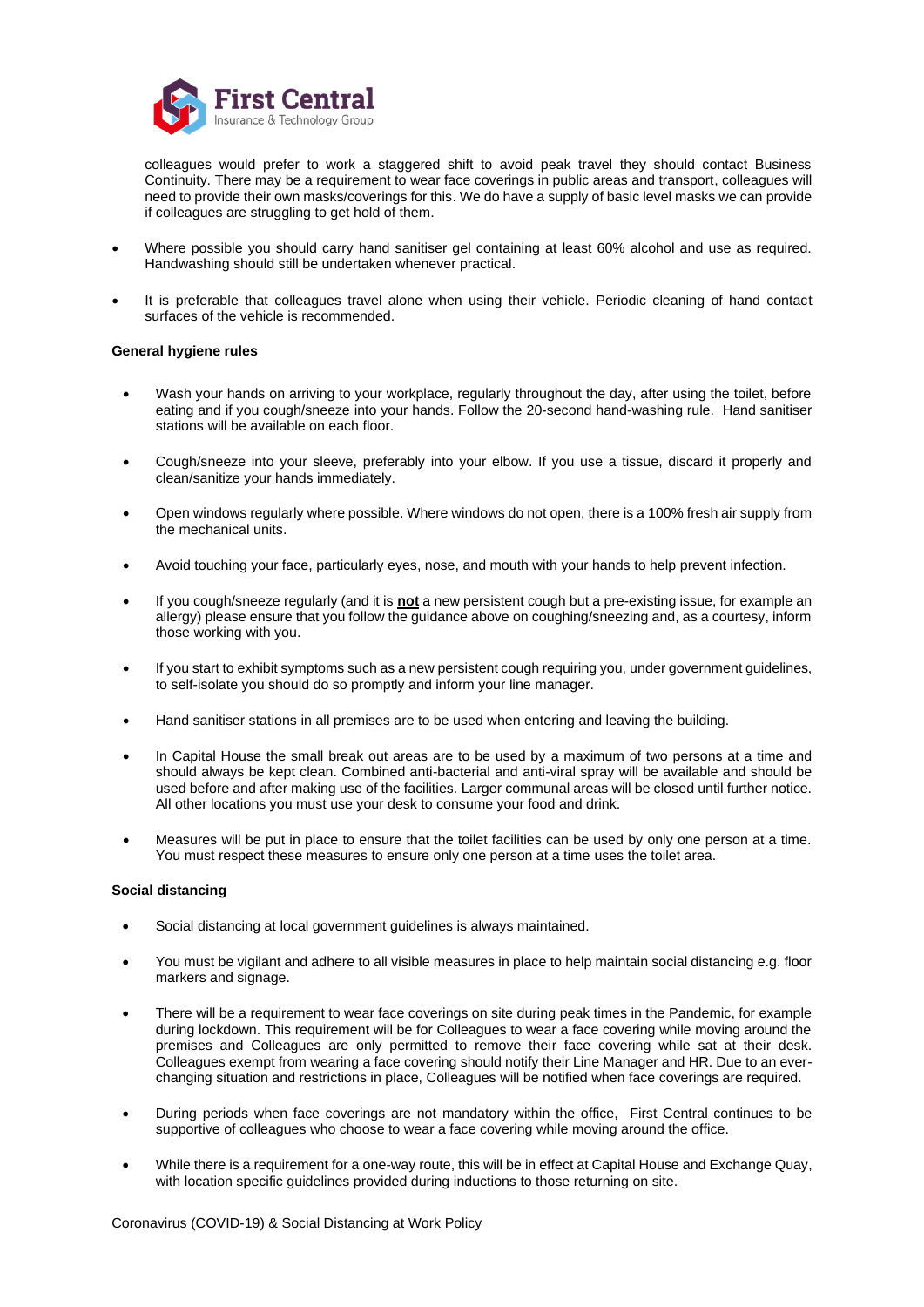

colleagues would prefer to work a staggered shift to avoid peak travel they should contact Business Continuity. There may be a requirement to wear face coverings in public areas and transport, colleagues will need to provide their own masks/coverings for this. We do have a supply of basic level masks we can provide if colleagues are struggling to get hold of them.

- Where possible you should carry hand sanitiser gel containing at least 60% alcohol and use as required. Handwashing should still be undertaken whenever practical.
- It is preferable that colleagues travel alone when using their vehicle. Periodic cleaning of hand contact surfaces of the vehicle is recommended.

## <span id="page-4-0"></span>**General hygiene rules**

- Wash your hands on arriving to your workplace, regularly throughout the day, after using the toilet, before eating and if you cough/sneeze into your hands. Follow the 20-second hand-washing rule. Hand sanitiser stations will be available on each floor.
- Cough/sneeze into your sleeve, preferably into your elbow. If you use a tissue, discard it properly and clean/sanitize your hands immediately.
- Open windows regularly where possible. Where windows do not open, there is a 100% fresh air supply from the mechanical units.
- Avoid touching your face, particularly eyes, nose, and mouth with your hands to help prevent infection.
- If you cough/sneeze regularly (and it is **not** a new persistent cough but a pre-existing issue, for example an allergy) please ensure that you follow the guidance above on coughing/sneezing and, as a courtesy, inform those working with you.
- If you start to exhibit symptoms such as a new persistent cough requiring you, under government guidelines, to self-isolate you should do so promptly and inform your line manager.
- Hand sanitiser stations in all premises are to be used when entering and leaving the building.
- In Capital House the small break out areas are to be used by a maximum of two persons at a time and should always be kept clean. Combined anti-bacterial and anti-viral spray will be available and should be used before and after making use of the facilities. Larger communal areas will be closed until further notice. All other locations you must use your desk to consume your food and drink.
- Measures will be put in place to ensure that the toilet facilities can be used by only one person at a time. You must respect these measures to ensure only one person at a time uses the toilet area.

#### <span id="page-4-1"></span>**Social distancing**

- Social distancing at local government guidelines is always maintained.
- You must be vigilant and adhere to all visible measures in place to help maintain social distancing e.g. floor markers and signage.
- There will be a requirement to wear face coverings on site during peak times in the Pandemic, for example during lockdown. This requirement will be for Colleagues to wear a face covering while moving around the premises and Colleagues are only permitted to remove their face covering while sat at their desk. Colleagues exempt from wearing a face covering should notify their Line Manager and HR. Due to an everchanging situation and restrictions in place, Colleagues will be notified when face coverings are required.
- During periods when face coverings are not mandatory within the office, First Central continues to be supportive of colleagues who choose to wear a face covering while moving around the office.
- While there is a requirement for a one-way route, this will be in effect at Capital House and Exchange Quay, with location specific quidelines provided during inductions to those returning on site.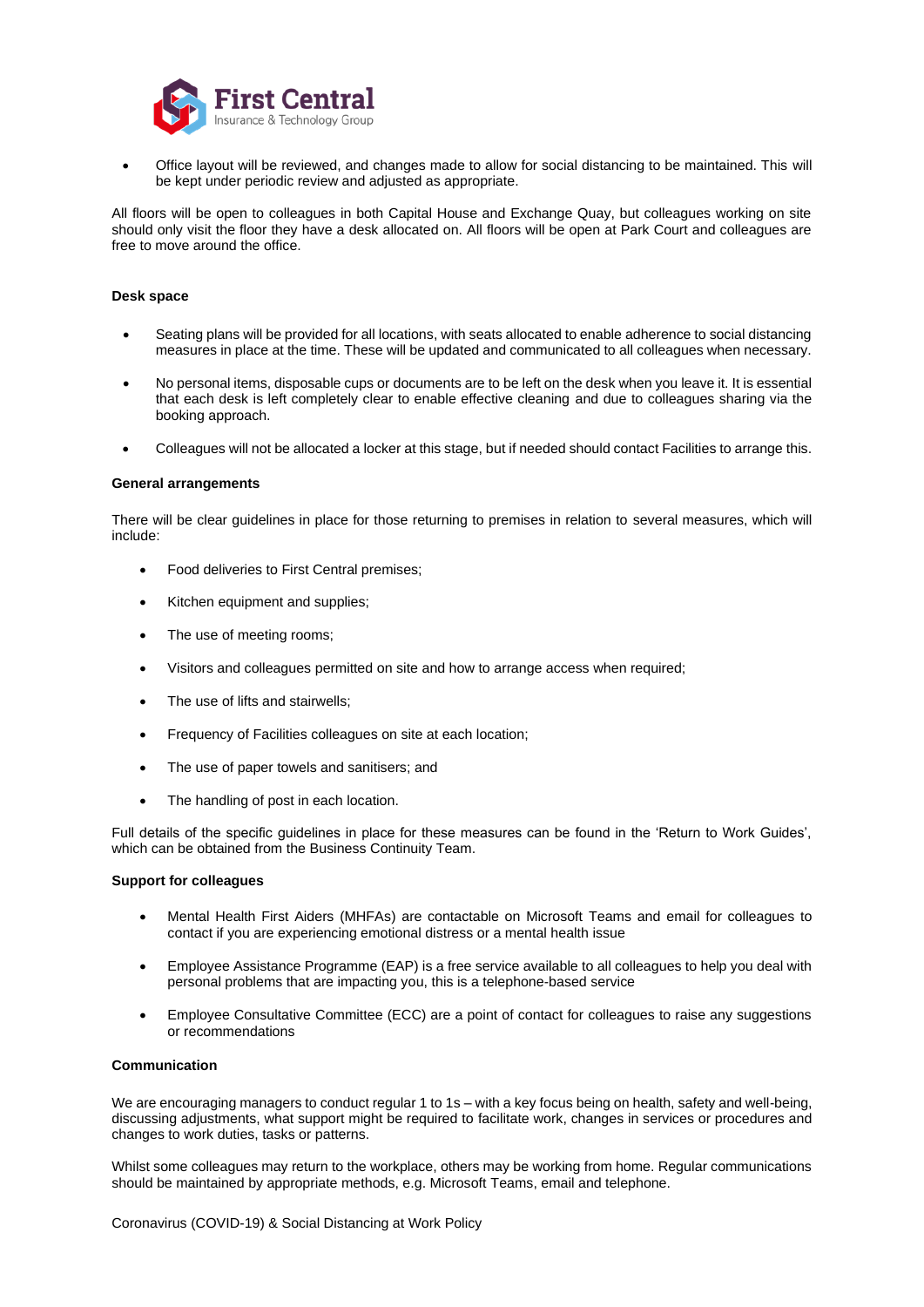

• Office layout will be reviewed, and changes made to allow for social distancing to be maintained. This will be kept under periodic review and adjusted as appropriate.

All floors will be open to colleagues in both Capital House and Exchange Quay, but colleagues working on site should only visit the floor they have a desk allocated on. All floors will be open at Park Court and colleagues are free to move around the office.

## <span id="page-5-0"></span>**Desk space**

- Seating plans will be provided for all locations, with seats allocated to enable adherence to social distancing measures in place at the time. These will be updated and communicated to all colleagues when necessary.
- No personal items, disposable cups or documents are to be left on the desk when you leave it. It is essential that each desk is left completely clear to enable effective cleaning and due to colleagues sharing via the booking approach.
- Colleagues will not be allocated a locker at this stage, but if needed should contact Facilities to arrange this.

#### <span id="page-5-1"></span>**General arrangements**

There will be clear guidelines in place for those returning to premises in relation to several measures, which will include:

- Food deliveries to First Central premises;
- Kitchen equipment and supplies;
- The use of meeting rooms;
- Visitors and colleagues permitted on site and how to arrange access when required;
- The use of lifts and stairwells;
- Frequency of Facilities colleagues on site at each location;
- The use of paper towels and sanitisers; and
- The handling of post in each location.

Full details of the specific guidelines in place for these measures can be found in the 'Return to Work Guides', which can be obtained from the Business Continuity Team.

#### **Support for colleagues**

- Mental Health First Aiders (MHFAs) are contactable on Microsoft Teams and email for colleagues to contact if you are experiencing emotional distress or a mental health issue
- Employee Assistance Programme (EAP) is a free service available to all colleagues to help you deal with personal problems that are impacting you, this is a telephone-based service
- Employee Consultative Committee (ECC) are a point of contact for colleagues to raise any suggestions or recommendations

## <span id="page-5-2"></span>**Communication**

We are encouraging managers to conduct regular 1 to 1s – with a key focus being on health, safety and well-being, discussing adjustments, what support might be required to facilitate work, changes in services or procedures and changes to work duties, tasks or patterns.

Whilst some colleagues may return to the workplace, others may be working from home. Regular communications should be maintained by appropriate methods, e.g. Microsoft Teams, email and telephone.

Coronavirus (COVID-19) & Social Distancing at Work Policy